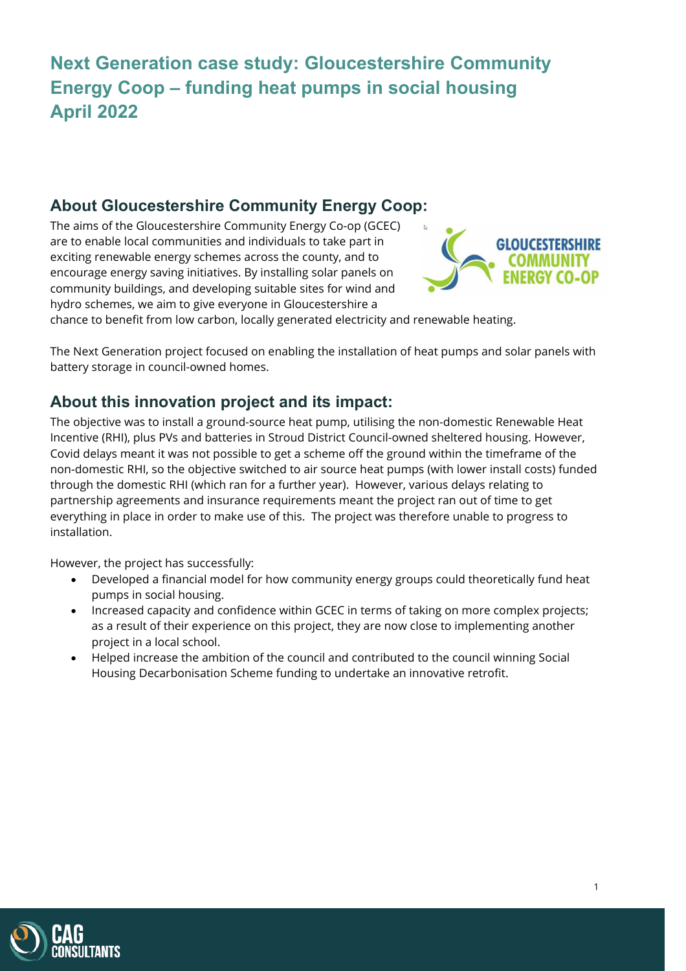# **Next Generation case study: Gloucestershire Community Energy Coop – funding heat pumps in social housing April 2022**

# **About Gloucestershire Community Energy Coop:**

The aims of the Gloucestershire Community Energy Co-op (GCEC) are to enable local communities and individuals to take part in exciting renewable energy schemes across the county, and to encourage energy saving initiatives. By installing solar panels on community buildings, and developing suitable sites for wind and hydro schemes, we aim to give everyone in Gloucestershire a



chance to benefit from low carbon, locally generated electricity and renewable heating.

The Next Generation project focused on enabling the installation of heat pumps and solar panels with battery storage in council-owned homes.

# **About this innovation project and its impact:**

The objective was to install a ground-source heat pump, utilising the non-domestic Renewable Heat Incentive (RHI), plus PVs and batteries in Stroud District Council-owned sheltered housing. However, Covid delays meant it was not possible to get a scheme off the ground within the timeframe of the non-domestic RHI, so the objective switched to air source heat pumps (with lower install costs) funded through the domestic RHI (which ran for a further year). However, various delays relating to partnership agreements and insurance requirements meant the project ran out of time to get everything in place in order to make use of this. The project was therefore unable to progress to installation.

However, the project has successfully:

- Developed a financial model for how community energy groups could theoretically fund heat pumps in social housing.
- Increased capacity and confidence within GCEC in terms of taking on more complex projects; as a result of their experience on this project, they are now close to implementing another project in a local school.
- Helped increase the ambition of the council and contributed to the council winning Social Housing Decarbonisation Scheme funding to undertake an innovative retrofit.